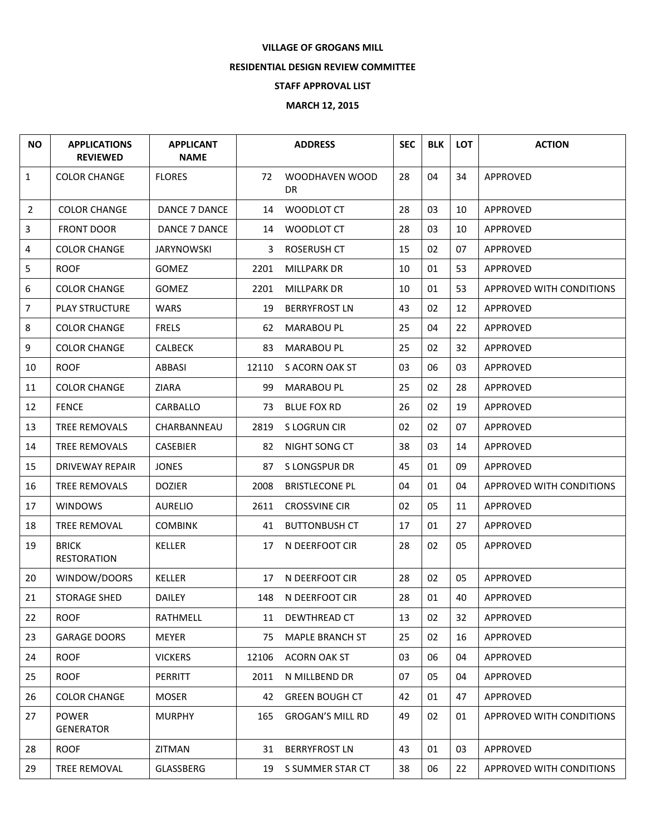## **VILLAGE OF GROGANS MILL**

## **RESIDENTIAL DESIGN REVIEW COMMITTEE**

## **STAFF APPROVAL LIST**

## **MARCH 12, 2015**

| <b>NO</b>      | <b>APPLICATIONS</b><br><b>REVIEWED</b> | <b>APPLICANT</b><br><b>NAME</b> | <b>ADDRESS</b> |                         | <b>SEC</b> | <b>BLK</b> | <b>LOT</b> | <b>ACTION</b>                   |
|----------------|----------------------------------------|---------------------------------|----------------|-------------------------|------------|------------|------------|---------------------------------|
| $\mathbf{1}$   | <b>COLOR CHANGE</b>                    | <b>FLORES</b>                   | 72             | WOODHAVEN WOOD<br>DR.   | 28         | 04         | 34         | APPROVED                        |
| 2              | <b>COLOR CHANGE</b>                    | <b>DANCE 7 DANCE</b>            | 14             | WOODLOT CT              | 28         | 03         | 10         | <b>APPROVED</b>                 |
| 3              | <b>FRONT DOOR</b>                      | DANCE 7 DANCE                   | 14             | WOODLOT CT              | 28         | 03         | 10         | APPROVED                        |
| 4              | <b>COLOR CHANGE</b>                    | <b>JARYNOWSKI</b>               | 3              | <b>ROSERUSH CT</b>      | 15         | 02         | 07         | APPROVED                        |
| 5              | <b>ROOF</b>                            | <b>GOMEZ</b>                    | 2201           | MILLPARK DR             | 10         | 01         | 53         | APPROVED                        |
| 6              | <b>COLOR CHANGE</b>                    | <b>GOMEZ</b>                    | 2201           | MILLPARK DR             | 10         | 01         | 53         | <b>APPROVED WITH CONDITIONS</b> |
| $\overline{7}$ | <b>PLAY STRUCTURE</b>                  | <b>WARS</b>                     | 19             | <b>BERRYFROST LN</b>    | 43         | 02         | 12         | APPROVED                        |
| 8              | <b>COLOR CHANGE</b>                    | <b>FRELS</b>                    | 62             | <b>MARABOU PL</b>       | 25         | 04         | 22         | APPROVED                        |
| 9              | <b>COLOR CHANGE</b>                    | <b>CALBECK</b>                  | 83             | <b>MARABOU PL</b>       | 25         | 02         | 32         | <b>APPROVED</b>                 |
| 10             | <b>ROOF</b>                            | ABBASI                          | 12110          | S ACORN OAK ST          | 03         | 06         | 03         | APPROVED                        |
| 11             | <b>COLOR CHANGE</b>                    | <b>ZIARA</b>                    | 99             | <b>MARABOU PL</b>       | 25         | 02         | 28         | <b>APPROVED</b>                 |
| 12             | <b>FENCE</b>                           | CARBALLO                        | 73             | <b>BLUE FOX RD</b>      | 26         | 02         | 19         | <b>APPROVED</b>                 |
| 13             | <b>TREE REMOVALS</b>                   | CHARBANNEAU                     | 2819           | S LOGRUN CIR            | 02         | 02         | 07         | APPROVED                        |
| 14             | <b>TREE REMOVALS</b>                   | <b>CASEBIER</b>                 | 82             | NIGHT SONG CT           | 38         | 03         | 14         | APPROVED                        |
| 15             | <b>DRIVEWAY REPAIR</b>                 | <b>JONES</b>                    | 87             | S LONGSPUR DR           | 45         | 01         | 09         | APPROVED                        |
| 16             | <b>TREE REMOVALS</b>                   | <b>DOZIER</b>                   | 2008           | <b>BRISTLECONE PL</b>   | 04         | 01         | 04         | APPROVED WITH CONDITIONS        |
| 17             | <b>WINDOWS</b>                         | <b>AURELIO</b>                  | 2611           | <b>CROSSVINE CIR</b>    | 02         | 05         | 11         | APPROVED                        |
| 18             | <b>TREE REMOVAL</b>                    | <b>COMBINK</b>                  | 41             | <b>BUTTONBUSH CT</b>    | 17         | 01         | 27         | <b>APPROVED</b>                 |
| 19             | <b>BRICK</b><br><b>RESTORATION</b>     | KELLER                          | 17             | N DEERFOOT CIR          | 28         | 02         | 05         | <b>APPROVED</b>                 |
| 20             | WINDOW/DOORS                           | <b>KELLER</b>                   | 17             | N DEERFOOT CIR          | 28         | 02         | 05         | APPROVED                        |
| 21             | <b>STORAGE SHED</b>                    | <b>DAILEY</b>                   | 148            | N DEERFOOT CIR          | 28         | 01         | 40         | APPROVED                        |
| 22             | <b>ROOF</b>                            | RATHMELL                        | 11             | DEWTHREAD CT            | 13         | 02         | 32         | APPROVED                        |
| 23             | <b>GARAGE DOORS</b>                    | <b>MEYER</b>                    | 75             | MAPLE BRANCH ST         | 25         | 02         | 16         | APPROVED                        |
| 24             | <b>ROOF</b>                            | <b>VICKERS</b>                  | 12106          | ACORN OAK ST            | 03         | 06         | 04         | APPROVED                        |
| 25             | <b>ROOF</b>                            | <b>PERRITT</b>                  | 2011           | N MILLBEND DR           | 07         | 05         | 04         | APPROVED                        |
| 26             | <b>COLOR CHANGE</b>                    | <b>MOSER</b>                    | 42             | <b>GREEN BOUGH CT</b>   | 42         | 01         | 47         | <b>APPROVED</b>                 |
| 27             | <b>POWER</b><br><b>GENERATOR</b>       | <b>MURPHY</b>                   | 165            | <b>GROGAN'S MILL RD</b> | 49         | 02         | 01         | <b>APPROVED WITH CONDITIONS</b> |
| 28             | <b>ROOF</b>                            | ZITMAN                          | 31             | <b>BERRYFROST LN</b>    | 43         | 01         | 03         | APPROVED                        |
| 29             | TREE REMOVAL                           | GLASSBERG                       | 19             | S SUMMER STAR CT        | 38         | 06         | 22         | <b>APPROVED WITH CONDITIONS</b> |